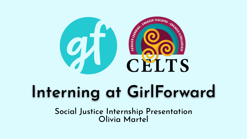

## **Interning at GirlForward**

Social Justice Internship Presentation Olivia Martel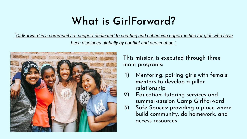## **What is GirlForward?**

*"GirlForward is a community of support dedicated to creating and enhancing opportunities for girls who have been displaced globally by conflict and persecution."*



This mission is executed through three main programs:

- 1) Mentoring: pairing girls with female mentors to develop a pillar relationship
- 2) Education: tutoring services and summer-session Camp GirlForward
- 3) Safe Spaces: providing a place where build community, do homework, and access resources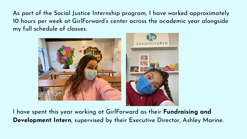As part of the Social Justice Internship program, I have worked approximately 10 hours per week at GirlForward's center across the academic year alongside my full schedule of classes.



I have spent this year working at GirlForward as their **Fundraising and Development Intern**, supervised by their Executive Director, Ashley Marine.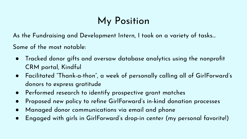## My Position

As the Fundraising and Development Intern, I took on a variety of tasks…

Some of the most notable:

- Tracked donor gifts and oversaw database analytics using the nonprofit CRM portal, Kindful
- Facilitated "Thank-a-thon", a week of personally calling all of GirlForward's donors to express gratitude
- Performed research to identify prospective grant matches
- Proposed new policy to refine GirlForward's in-kind donation processes
- Managed donor communications via email and phone
- Engaged with girls in GirlForward's drop-in center (my personal favorite!)